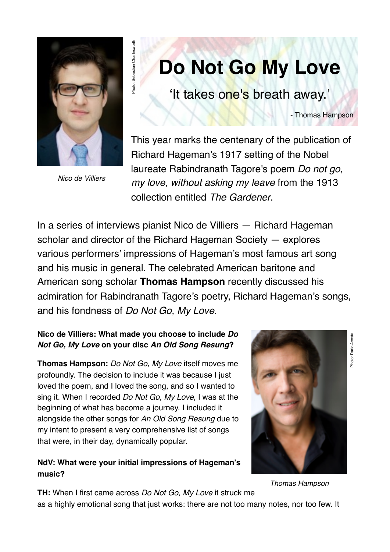

*Nico de Villiers*

# **Do Not Go My Love**

'It takes one's breath away.'

- Thomas Hampson

This year marks the centenary of the publication of Richard Hageman's 1917 setting of the Nobel laureate Rabindranath Tagore's poem *Do not go, my love, without asking my leave* from the 1913 collection entitled *The Gardener*.

In a series of interviews pianist Nico de Villiers — Richard Hageman scholar and director of the Richard Hageman Society — explores various performers' impressions of Hageman's most famous art song and his music in general. The celebrated American baritone and American song scholar **Thomas Hampson** recently discussed his admiration for Rabindranath Tagore's poetry, Richard Hageman's songs, and his fondness of *Do Not Go, My Love*.

#### **Nico de Villiers: What made you choose to include** *Do Not Go, My Love* **on your disc** *An Old Song Resung***?**

Photo: Sebastian Charlesworth

Photo: Sebastian Charlesworth

**Thomas Hampson:** *Do Not Go, My Love* itself moves me profoundly. The decision to include it was because I just loved the poem, and I loved the song, and so I wanted to sing it. When I recorded *Do Not Go, My Love*, I was at the beginning of what has become a journey. I included it alongside the other songs for *An Old Song Resung* due to my intent to present a very comprehensive list of songs that were, in their day, dynamically popular.

# **NdV: What were your initial impressions of Hageman's music?**



*Thomas Hampson*

**TH:** When I first came across *Do Not Go, My Love* it struck me as a highly emotional song that just works: there are not too many notes, nor too few. It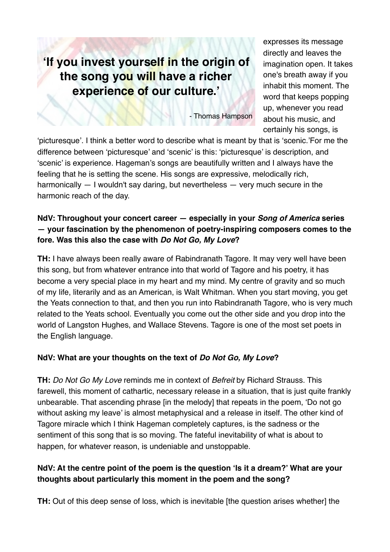# **'If you invest yourself in the origin of the song you will have a richer experience of our culture.'**

- Thomas Hampson

expresses its message directly and leaves the imagination open. It takes one's breath away if you inhabit this moment. The word that keeps popping up, whenever you read about his music, and certainly his songs, is

'picturesque'. I think a better word to describe what is meant by that is 'scenic.'For me the difference between 'picturesque' and 'scenic' is this: 'picturesque' is description, and 'scenic' is experience. Hageman's songs are beautifully written and I always have the feeling that he is setting the scene. His songs are expressive, melodically rich, harmonically — I wouldn't say daring, but nevertheless — very much secure in the harmonic reach of the day.

#### **NdV: Throughout your concert career — especially in your** *Song of America* **series — your fascination by the phenomenon of poetry-inspiring composers comes to the fore. Was this also the case with** *Do Not Go, My Love***?**

**TH:** I have always been really aware of Rabindranath Tagore. It may very well have been this song, but from whatever entrance into that world of Tagore and his poetry, it has become a very special place in my heart and my mind. My centre of gravity and so much of my life, literarily and as an American, is Walt Whitman. When you start moving, you get the Yeats connection to that, and then you run into Rabindranath Tagore, who is very much related to the Yeats school. Eventually you come out the other side and you drop into the world of Langston Hughes, and Wallace Stevens. Tagore is one of the most set poets in the English language.

# **NdV: What are your thoughts on the text of** *Do Not Go, My Love***?**

**TH:** *Do Not Go My Love* reminds me in context of *Befreit* by Richard Strauss. This farewell, this moment of cathartic, necessary release in a situation, that is just quite frankly unbearable. That ascending phrase [in the melody] that repeats in the poem, 'Do not go without asking my leave' is almost metaphysical and a release in itself. The other kind of Tagore miracle which I think Hageman completely captures, is the sadness or the sentiment of this song that is so moving. The fateful inevitability of what is about to happen, for whatever reason, is undeniable and unstoppable.

# **NdV: At the centre point of the poem is the question 'Is it a dream?' What are your thoughts about particularly this moment in the poem and the song?**

**TH:** Out of this deep sense of loss, which is inevitable [the question arises whether] the